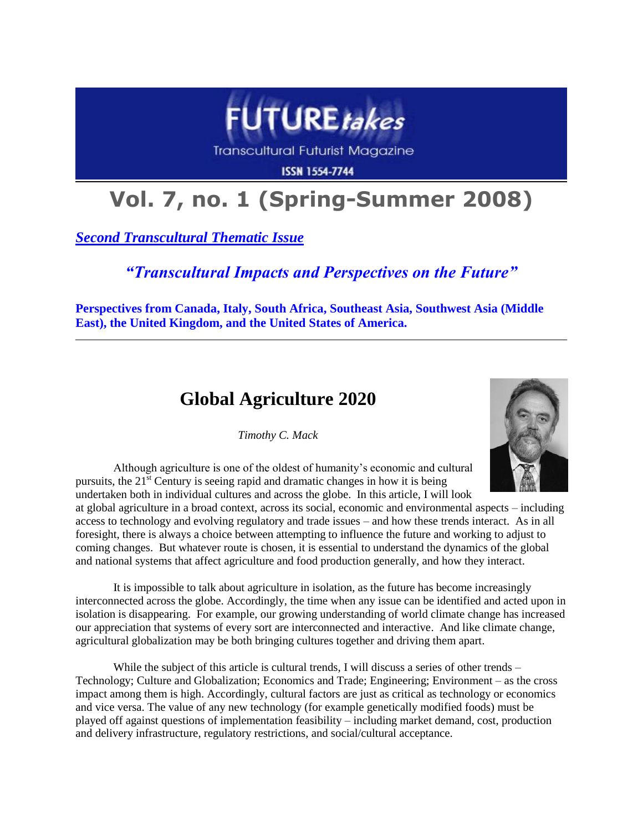

Transcultural Futurist Magazine

**ISSN 1554-7744** 

# **Vol. 7, no. 1 (Spring-Summer 2008)**

*Second Transcultural Thematic Issue*

### *"Transcultural Impacts and Perspectives on the Future"*

**Perspectives from Canada, Italy, South Africa, Southeast Asia, Southwest Asia (Middle East), the United Kingdom, and the United States of America.**

## **Global Agriculture 2020**

*Timothy C. Mack*



Although agriculture is one of the oldest of humanity's economic and cultural pursuits, the  $21<sup>st</sup>$  Century is seeing rapid and dramatic changes in how it is being undertaken both in individual cultures and across the globe. In this article, I will look

at global agriculture in a broad context, across its social, economic and environmental aspects – including access to technology and evolving regulatory and trade issues – and how these trends interact. As in all foresight, there is always a choice between attempting to influence the future and working to adjust to coming changes. But whatever route is chosen, it is essential to understand the dynamics of the global and national systems that affect agriculture and food production generally, and how they interact.

It is impossible to talk about agriculture in isolation, as the future has become increasingly interconnected across the globe. Accordingly, the time when any issue can be identified and acted upon in isolation is disappearing. For example, our growing understanding of world climate change has increased our appreciation that systems of every sort are interconnected and interactive. And like climate change, agricultural globalization may be both bringing cultures together and driving them apart.

While the subject of this article is cultural trends, I will discuss a series of other trends – Technology; Culture and Globalization; Economics and Trade; Engineering; Environment – as the cross impact among them is high. Accordingly, cultural factors are just as critical as technology or economics and vice versa. The value of any new technology (for example genetically modified foods) must be played off against questions of implementation feasibility – including market demand, cost, production and delivery infrastructure, regulatory restrictions, and social/cultural acceptance.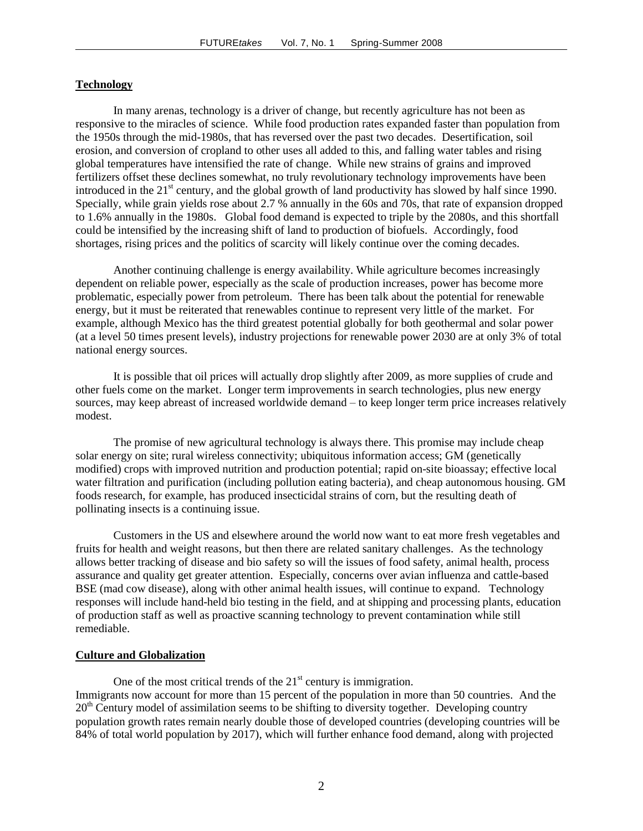#### **Technology**

In many arenas, technology is a driver of change, but recently agriculture has not been as responsive to the miracles of science. While food production rates expanded faster than population from the 1950s through the mid-1980s, that has reversed over the past two decades. Desertification, soil erosion, and conversion of cropland to other uses all added to this, and falling water tables and rising global temperatures have intensified the rate of change. While new strains of grains and improved fertilizers offset these declines somewhat, no truly revolutionary technology improvements have been introduced in the 21<sup>st</sup> century, and the global growth of land productivity has slowed by half since 1990. Specially, while grain yields rose about 2.7 % annually in the 60s and 70s, that rate of expansion dropped to 1.6% annually in the 1980s. Global food demand is expected to triple by the 2080s, and this shortfall could be intensified by the increasing shift of land to production of biofuels. Accordingly, food shortages, rising prices and the politics of scarcity will likely continue over the coming decades.

Another continuing challenge is energy availability. While agriculture becomes increasingly dependent on reliable power, especially as the scale of production increases, power has become more problematic, especially power from petroleum. There has been talk about the potential for renewable energy, but it must be reiterated that renewables continue to represent very little of the market. For example, although Mexico has the third greatest potential globally for both geothermal and solar power (at a level 50 times present levels), industry projections for renewable power 2030 are at only 3% of total national energy sources.

It is possible that oil prices will actually drop slightly after 2009, as more supplies of crude and other fuels come on the market. Longer term improvements in search technologies, plus new energy sources, may keep abreast of increased worldwide demand – to keep longer term price increases relatively modest.

The promise of new agricultural technology is always there. This promise may include cheap solar energy on site; rural wireless connectivity; ubiquitous information access; GM (genetically modified) crops with improved nutrition and production potential; rapid on-site bioassay; effective local water filtration and purification (including pollution eating bacteria), and cheap autonomous housing. GM foods research, for example, has produced insecticidal strains of corn, but the resulting death of pollinating insects is a continuing issue.

Customers in the US and elsewhere around the world now want to eat more fresh vegetables and fruits for health and weight reasons, but then there are related sanitary challenges. As the technology allows better tracking of disease and bio safety so will the issues of food safety, animal health, process assurance and quality get greater attention. Especially, concerns over avian influenza and cattle-based BSE (mad cow disease), along with other animal health issues, will continue to expand. Technology responses will include hand-held bio testing in the field, and at shipping and processing plants, education of production staff as well as proactive scanning technology to prevent contamination while still remediable.

#### **Culture and Globalization**

One of the most critical trends of the  $21<sup>st</sup>$  century is immigration. Immigrants now account for more than 15 percent of the population in more than 50 countries. And the  $20<sup>th</sup>$  Century model of assimilation seems to be shifting to diversity together. Developing country population growth rates remain nearly double those of developed countries (developing countries will be 84% of total world population by 2017), which will further enhance food demand, along with projected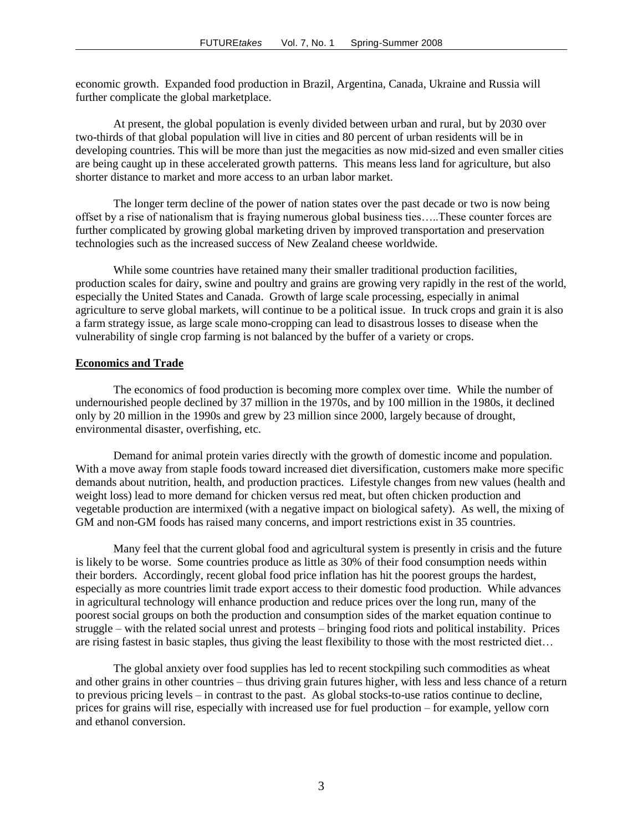economic growth. Expanded food production in Brazil, Argentina, Canada, Ukraine and Russia will further complicate the global marketplace.

At present, the global population is evenly divided between urban and rural, but by 2030 over two-thirds of that global population will live in cities and 80 percent of urban residents will be in developing countries. This will be more than just the megacities as now mid-sized and even smaller cities are being caught up in these accelerated growth patterns. This means less land for agriculture, but also shorter distance to market and more access to an urban labor market.

The longer term decline of the power of nation states over the past decade or two is now being offset by a rise of nationalism that is fraying numerous global business ties…..These counter forces are further complicated by growing global marketing driven by improved transportation and preservation technologies such as the increased success of New Zealand cheese worldwide.

While some countries have retained many their smaller traditional production facilities, production scales for dairy, swine and poultry and grains are growing very rapidly in the rest of the world, especially the United States and Canada. Growth of large scale processing, especially in animal agriculture to serve global markets, will continue to be a political issue. In truck crops and grain it is also a farm strategy issue, as large scale mono-cropping can lead to disastrous losses to disease when the vulnerability of single crop farming is not balanced by the buffer of a variety or crops.

#### **Economics and Trade**

The economics of food production is becoming more complex over time. While the number of undernourished people declined by 37 million in the 1970s, and by 100 million in the 1980s, it declined only by 20 million in the 1990s and grew by 23 million since 2000, largely because of drought, environmental disaster, overfishing, etc.

Demand for animal protein varies directly with the growth of domestic income and population. With a move away from staple foods toward increased diet diversification, customers make more specific demands about nutrition, health, and production practices. Lifestyle changes from new values (health and weight loss) lead to more demand for chicken versus red meat, but often chicken production and vegetable production are intermixed (with a negative impact on biological safety). As well, the mixing of GM and non-GM foods has raised many concerns, and import restrictions exist in 35 countries.

Many feel that the current global food and agricultural system is presently in crisis and the future is likely to be worse. Some countries produce as little as 30% of their food consumption needs within their borders. Accordingly, recent global food price inflation has hit the poorest groups the hardest, especially as more countries limit trade export access to their domestic food production. While advances in agricultural technology will enhance production and reduce prices over the long run, many of the poorest social groups on both the production and consumption sides of the market equation continue to struggle – with the related social unrest and protests – bringing food riots and political instability. Prices are rising fastest in basic staples, thus giving the least flexibility to those with the most restricted diet…

The global anxiety over food supplies has led to recent stockpiling such commodities as wheat and other grains in other countries – thus driving grain futures higher, with less and less chance of a return to previous pricing levels – in contrast to the past. As global stocks-to-use ratios continue to decline, prices for grains will rise, especially with increased use for fuel production – for example, yellow corn and ethanol conversion.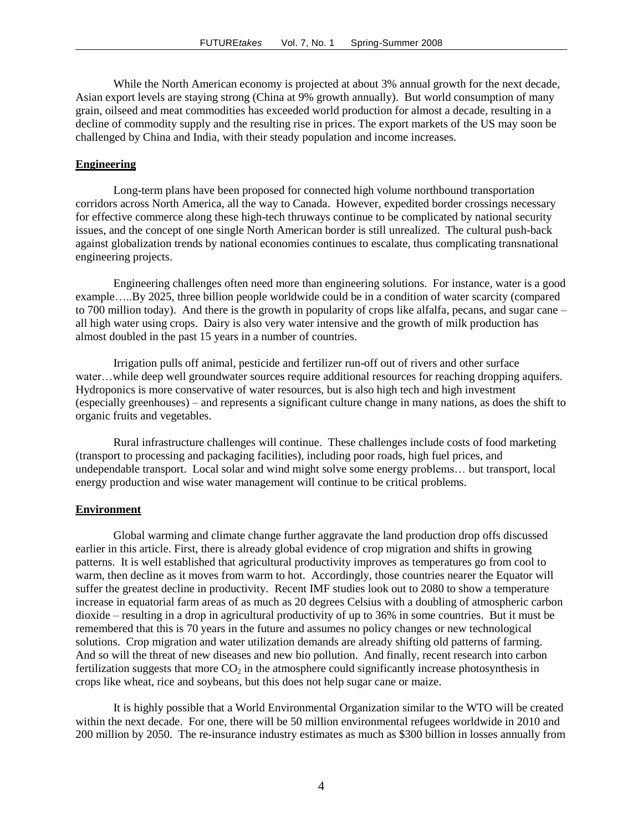While the North American economy is projected at about 3% annual growth for the next decade, Asian export levels are staying strong (China at 9% growth annually). But world consumption of many grain, oilseed and meat commodities has exceeded world production for almost a decade, resulting in a decline of commodity supply and the resulting rise in prices. The export markets of the US may soon be challenged by China and India, with their steady population and income increases.

#### **Engineering**

Long-term plans have been proposed for connected high volume northbound transportation corridors across North America, all the way to Canada. However, expedited border crossings necessary for effective commerce along these high-tech thruways continue to be complicated by national security issues, and the concept of one single North American border is still unrealized. The cultural push-back against globalization trends by national economies continues to escalate, thus complicating transnational engineering projects.

Engineering challenges often need more than engineering solutions. For instance, water is a good example…..By 2025, three billion people worldwide could be in a condition of water scarcity (compared to 700 million today). And there is the growth in popularity of crops like alfalfa, pecans, and sugar cane – all high water using crops. Dairy is also very water intensive and the growth of milk production has almost doubled in the past 15 years in a number of countries.

Irrigation pulls off animal, pesticide and fertilizer run-off out of rivers and other surface water…while deep well groundwater sources require additional resources for reaching dropping aquifers. Hydroponics is more conservative of water resources, but is also high tech and high investment (especially greenhouses) – and represents a significant culture change in many nations, as does the shift to organic fruits and vegetables.

Rural infrastructure challenges will continue. These challenges include costs of food marketing (transport to processing and packaging facilities), including poor roads, high fuel prices, and undependable transport. Local solar and wind might solve some energy problems… but transport, local energy production and wise water management will continue to be critical problems.

#### **Environment**

Global warming and climate change further aggravate the land production drop offs discussed earlier in this article. First, there is already global evidence of crop migration and shifts in growing patterns. It is well established that agricultural productivity improves as temperatures go from cool to warm, then decline as it moves from warm to hot. Accordingly, those countries nearer the Equator will suffer the greatest decline in productivity. Recent IMF studies look out to 2080 to show a temperature increase in equatorial farm areas of as much as 20 degrees Celsius with a doubling of atmospheric carbon dioxide – resulting in a drop in agricultural productivity of up to 36% in some countries. But it must be remembered that this is 70 years in the future and assumes no policy changes or new technological solutions. Crop migration and water utilization demands are already shifting old patterns of farming. And so will the threat of new diseases and new bio pollution. And finally, recent research into carbon fertilization suggests that more  $CO<sub>2</sub>$  in the atmosphere could significantly increase photosynthesis in crops like wheat, rice and soybeans, but this does not help sugar cane or maize.

It is highly possible that a World Environmental Organization similar to the WTO will be created within the next decade. For one, there will be 50 million environmental refugees worldwide in 2010 and 200 million by 2050. The re-insurance industry estimates as much as \$300 billion in losses annually from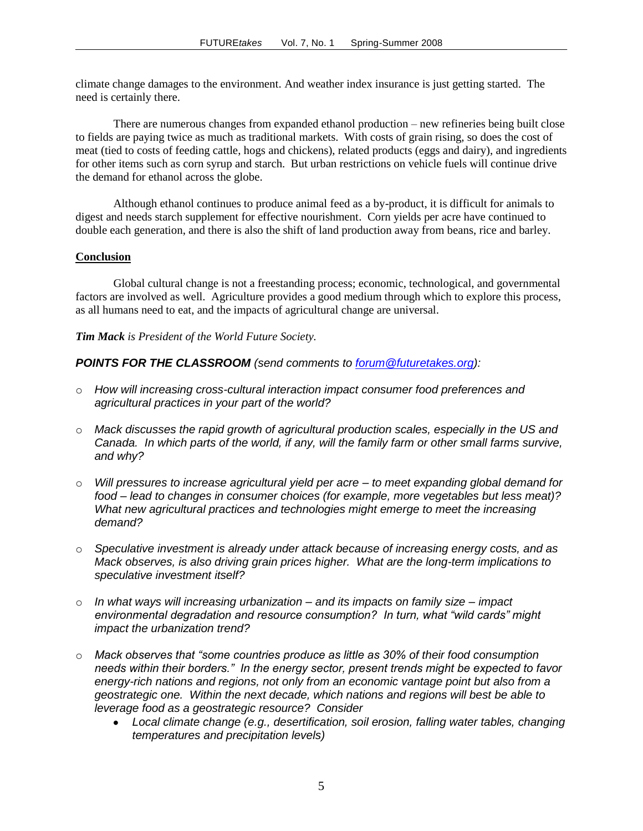climate change damages to the environment. And weather index insurance is just getting started. The need is certainly there.

There are numerous changes from expanded ethanol production – new refineries being built close to fields are paying twice as much as traditional markets. With costs of grain rising, so does the cost of meat (tied to costs of feeding cattle, hogs and chickens), related products (eggs and dairy), and ingredients for other items such as corn syrup and starch. But urban restrictions on vehicle fuels will continue drive the demand for ethanol across the globe.

Although ethanol continues to produce animal feed as a by-product, it is difficult for animals to digest and needs starch supplement for effective nourishment. Corn yields per acre have continued to double each generation, and there is also the shift of land production away from beans, rice and barley.

#### **Conclusion**

Global cultural change is not a freestanding process; economic, technological, and governmental factors are involved as well. Agriculture provides a good medium through which to explore this process, as all humans need to eat, and the impacts of agricultural change are universal.

#### *Tim Mack is President of the World Future Society.*

#### *POINTS FOR THE CLASSROOM (send comments to [forum@futuretakes.org\)](mailto:forum@futuretakes.org):*

- o *How will increasing cross-cultural interaction impact consumer food preferences and agricultural practices in your part of the world?*
- o *Mack discusses the rapid growth of agricultural production scales, especially in the US and Canada. In which parts of the world, if any, will the family farm or other small farms survive, and why?*
- o *Will pressures to increase agricultural yield per acre – to meet expanding global demand for food – lead to changes in consumer choices (for example, more vegetables but less meat)? What new agricultural practices and technologies might emerge to meet the increasing demand?*
- o *Speculative investment is already under attack because of increasing energy costs, and as Mack observes, is also driving grain prices higher. What are the long-term implications to speculative investment itself?*
- o *In what ways will increasing urbanization – and its impacts on family size – impact environmental degradation and resource consumption? In turn, what "wild cards" might impact the urbanization trend?*
- o *Mack observes that "some countries produce as little as 30% of their food consumption needs within their borders." In the energy sector, present trends might be expected to favor energy-rich nations and regions, not only from an economic vantage point but also from a geostrategic one. Within the next decade, which nations and regions will best be able to leverage food as a geostrategic resource? Consider*
	- *Local climate change (e.g., desertification, soil erosion, falling water tables, changing*   $\bullet$ *temperatures and precipitation levels)*